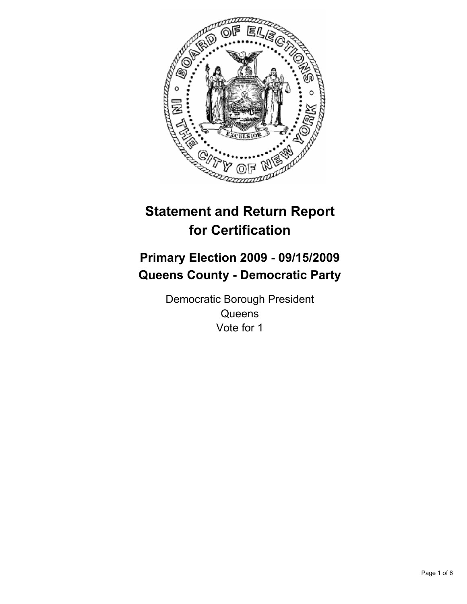

# **Statement and Return Report for Certification**

# **Primary Election 2009 - 09/15/2009 Queens County - Democratic Party**

Democratic Borough President **Queens** Vote for 1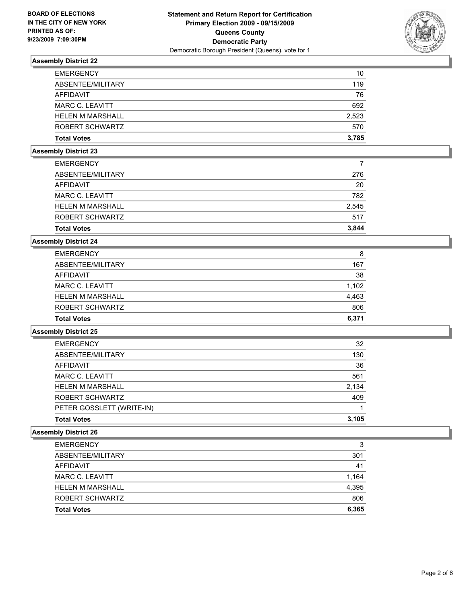

| <b>Total Votes</b>      | 3.785 |
|-------------------------|-------|
| ROBERT SCHWARTZ         | 570   |
| <b>HELEN M MARSHALL</b> | 2,523 |
| MARC C. LEAVITT         | 692   |
| AFFIDAVIT               | 76    |
| ABSENTEE/MILITARY       | 119   |
| <b>EMERGENCY</b>        | 10    |

#### **Assembly District 23**

| <b>EMERGENCY</b>        |       |
|-------------------------|-------|
| ABSENTEE/MILITARY       | 276   |
| AFFIDAVIT               | 20    |
| MARC C. LEAVITT         | 782   |
| <b>HELEN M MARSHALL</b> | 2,545 |
| ROBERT SCHWARTZ         | 517   |
| <b>Total Votes</b>      | 3.844 |

#### **Assembly District 24**

| <b>EMERGENCY</b>        | 8     |
|-------------------------|-------|
| ABSENTEE/MILITARY       | 167   |
| AFFIDAVIT               | 38    |
| MARC C. LEAVITT         | 1.102 |
| <b>HELEN M MARSHALL</b> | 4,463 |
| ROBERT SCHWARTZ         | 806   |
| <b>Total Votes</b>      | 6.371 |

## **Assembly District 25**

| <b>EMERGENCY</b>          | 32    |
|---------------------------|-------|
| ABSENTEE/MILITARY         | 130   |
| <b>AFFIDAVIT</b>          | 36    |
| MARC C. LEAVITT           | 561   |
| <b>HELEN M MARSHALL</b>   | 2.134 |
| ROBERT SCHWARTZ           | 409   |
| PETER GOSSLETT (WRITE-IN) |       |
| <b>Total Votes</b>        | 3.105 |

| <b>EMERGENCY</b>        | 3     |
|-------------------------|-------|
| ABSENTEE/MILITARY       | 301   |
| AFFIDAVIT               | 41    |
| MARC C. LEAVITT         | 1.164 |
| <b>HELEN M MARSHALL</b> | 4,395 |
| ROBERT SCHWARTZ         | 806   |
| <b>Total Votes</b>      | 6,365 |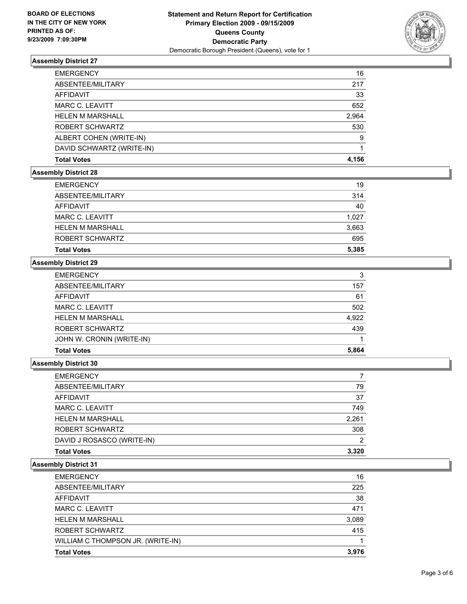

| <b>EMERGENCY</b>          | 16    |
|---------------------------|-------|
| ABSENTEE/MILITARY         | 217   |
| <b>AFFIDAVIT</b>          | 33    |
| MARC C. LEAVITT           | 652   |
| <b>HELEN M MARSHALL</b>   | 2,964 |
| ROBERT SCHWARTZ           | 530   |
| ALBERT COHEN (WRITE-IN)   | 9     |
| DAVID SCHWARTZ (WRITE-IN) |       |
| <b>Total Votes</b>        | 4.156 |

## **Assembly District 28**

| <b>Total Votes</b>      | 5.385 |
|-------------------------|-------|
| ROBERT SCHWARTZ         | 695   |
| <b>HELEN M MARSHALL</b> | 3,663 |
| MARC C. LEAVITT         | 1.027 |
| AFFIDAVIT               | 40    |
| ABSENTEE/MILITARY       | 314   |
| <b>EMERGENCY</b>        | 19    |

# **Assembly District 29**

| <b>EMERGENCY</b>          | 3     |
|---------------------------|-------|
| ABSENTEE/MILITARY         | 157   |
| <b>AFFIDAVIT</b>          | 61    |
| MARC C. LEAVITT           | 502   |
| <b>HELEN M MARSHALL</b>   | 4,922 |
| ROBERT SCHWARTZ           | 439   |
| JOHN W. CRONIN (WRITE-IN) |       |
| <b>Total Votes</b>        | 5.864 |

#### **Assembly District 30**

| <b>Total Votes</b>         | 3,320 |
|----------------------------|-------|
| DAVID J ROSASCO (WRITE-IN) | 2     |
| ROBERT SCHWARTZ            | 308   |
| <b>HELEN M MARSHALL</b>    | 2,261 |
| <b>MARC C. LEAVITT</b>     | 749   |
| <b>AFFIDAVIT</b>           | 37    |
| ABSENTEE/MILITARY          | 79    |
| <b>EMERGENCY</b>           | 7     |

| <b>EMERGENCY</b>                  | 16    |
|-----------------------------------|-------|
| ABSENTEE/MILITARY                 | 225   |
| AFFIDAVIT                         | 38    |
| MARC C. LEAVITT                   | 471   |
| <b>HELEN M MARSHALL</b>           | 3,089 |
| ROBERT SCHWARTZ                   | 415   |
| WILLIAM C THOMPSON JR. (WRITE-IN) |       |
| <b>Total Votes</b>                | 3.976 |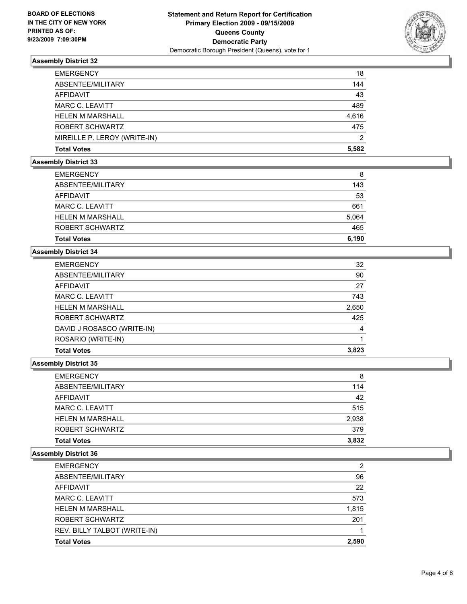

| <b>EMERGENCY</b>             | 18    |
|------------------------------|-------|
| ABSENTEE/MILITARY            | 144   |
| AFFIDAVIT                    | 43    |
| <b>MARC C. LEAVITT</b>       | 489   |
| <b>HELEN M MARSHALL</b>      | 4.616 |
| ROBERT SCHWARTZ              | 475   |
| MIREILLE P. LEROY (WRITE-IN) | 2     |
| <b>Total Votes</b>           | 5.582 |

# **Assembly District 33**

| 465<br>6.190 |
|--------------|
|              |
|              |
| 5,064        |
| 661          |
| 53           |
| 143          |
| 8            |
|              |

# **Assembly District 34**

| <b>EMERGENCY</b>           | 32    |
|----------------------------|-------|
| ABSENTEE/MILITARY          | 90    |
| <b>AFFIDAVIT</b>           | 27    |
| MARC C. LEAVITT            | 743   |
| <b>HELEN M MARSHALL</b>    | 2,650 |
| ROBERT SCHWARTZ            | 425   |
| DAVID J ROSASCO (WRITE-IN) | 4     |
| ROSARIO (WRITE-IN)         |       |
| <b>Total Votes</b>         | 3.823 |

#### **Assembly District 35**

| <b>Total Votes</b>      | 3,832 |
|-------------------------|-------|
| ROBERT SCHWARTZ         | 379   |
| <b>HELEN M MARSHALL</b> | 2,938 |
| MARC C. LEAVITT         | 515   |
| AFFIDAVIT               | 42    |
| ABSENTEE/MILITARY       | 114   |
| <b>EMERGENCY</b>        | 8     |

| <b>Total Votes</b>           | 2.590 |
|------------------------------|-------|
| REV. BILLY TALBOT (WRITE-IN) |       |
| ROBERT SCHWARTZ              | 201   |
| <b>HELEN M MARSHALL</b>      | 1,815 |
| <b>MARC C. LEAVITT</b>       | 573   |
| AFFIDAVIT                    | 22    |
| ABSENTEE/MILITARY            | 96    |
| <b>EMERGENCY</b>             | 2     |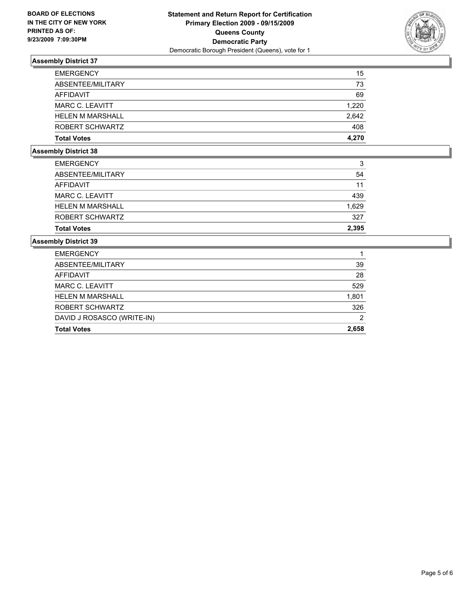

| <b>EMERGENCY</b>        | 15    |
|-------------------------|-------|
| ABSENTEE/MILITARY       | 73    |
| AFFIDAVIT               | 69    |
| MARC C. LEAVITT         | 1.220 |
| <b>HELEN M MARSHALL</b> | 2.642 |
| ROBERT SCHWARTZ         | 408   |
| <b>Total Votes</b>      | 4.270 |

# **Assembly District 38**

| <b>EMERGENCY</b>        | 3     |
|-------------------------|-------|
| ABSENTEE/MILITARY       | 54    |
| <b>AFFIDAVIT</b>        | 11    |
| <b>MARC C. LEAVITT</b>  | 439   |
| <b>HELEN M MARSHALL</b> | 1.629 |
| ROBERT SCHWARTZ         | 327   |
| <b>Total Votes</b>      | 2.395 |

| <b>Total Votes</b>         | 2.658 |
|----------------------------|-------|
| DAVID J ROSASCO (WRITE-IN) | 2     |
| ROBERT SCHWARTZ            | 326   |
| <b>HELEN M MARSHALL</b>    | 1,801 |
| MARC C. LEAVITT            | 529   |
| AFFIDAVIT                  | 28    |
| ABSENTEE/MILITARY          | 39    |
| <b>EMERGENCY</b>           |       |